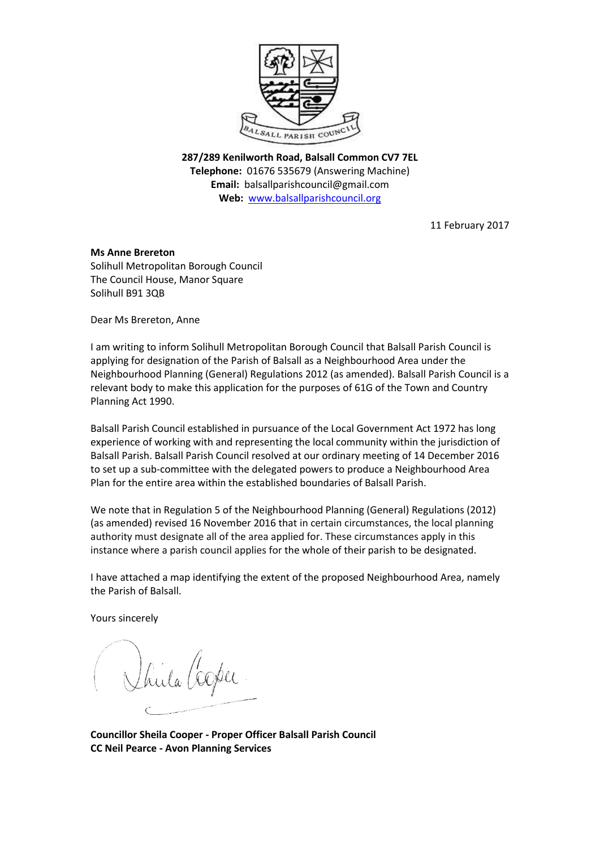

**287/289 Kenilworth Road, Balsall Common CV7 7EL Telephone:** 01676 535679 (Answering Machine) **Email:** balsallparishcouncil@gmail.com **Web:** [www.balsallparishcouncil.org](http://www.balsallparishcouncil.org/)

11 February 2017

## **Ms Anne Brereton**

Solihull Metropolitan Borough Council The Council House, Manor Square Solihull B91 3QB

Dear Ms Brereton, Anne

I am writing to inform Solihull Metropolitan Borough Council that Balsall Parish Council is applying for designation of the Parish of Balsall as a Neighbourhood Area under the Neighbourhood Planning (General) Regulations 2012 (as amended). Balsall Parish Council is a relevant body to make this application for the purposes of 61G of the Town and Country Planning Act 1990.

Balsall Parish Council established in pursuance of the Local Government Act 1972 has long experience of working with and representing the local community within the jurisdiction of Balsall Parish. Balsall Parish Council resolved at our ordinary meeting of 14 December 2016 to set up a sub-committee with the delegated powers to produce a Neighbourhood Area Plan for the entire area within the established boundaries of Balsall Parish.

We note that in Regulation 5 of the Neighbourhood Planning (General) Regulations (2012) (as amended) revised 16 November 2016 that in certain circumstances, the local planning authority must designate all of the area applied for. These circumstances apply in this instance where a parish council applies for th[e whole of their parish to](https://www.gov.uk/guidance/neighbourhood-planning--2#para032) be designated.

I have attached a map identifying the extent of the proposed Neighbourhood Area, namely the Parish of Balsall.

Yours sincerely

**Councillor Sheila Cooper - Proper Officer Balsall Parish Council CC Neil Pearce - Avon Planning Services**